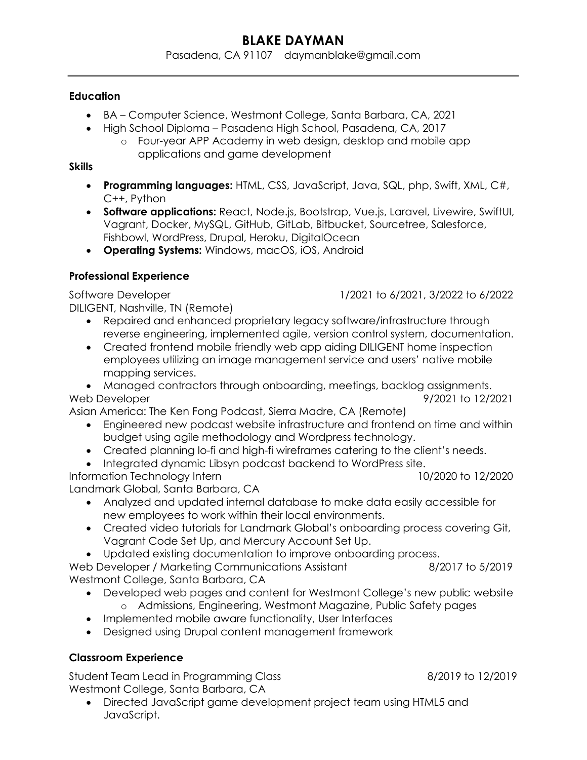### **Education**

- BA Computer Science, Westmont College, Santa Barbara, CA, 2021
- High School Diploma Pasadena High School, Pasadena, CA, 2017
	- o Four-year APP Academy in web design, desktop and mobile app applications and game development

## **Skills**

- Programming languages: HTML, CSS, JavaScript, Java, SQL, php, Swift, XML, C#, C++, Python
- **Software applications:** React, Node.js, Bootstrap, Vue.js, Laravel, Livewire, SwiftUI, Vagrant, Docker, MySQL, GitHub, GitLab, Bitbucket, Sourcetree, Salesforce, Fishbowl, WordPress, Drupal, Heroku, DigitalOcean
- Operating Systems: Windows, macOS, iOS, Android

## Professional Experience

DILIGENT, Nashville, TN (Remote)

- Repaired and enhanced proprietary legacy software/infrastructure through reverse engineering, implemented agile, version control system, documentation.
- Created frontend mobile friendly web app aiding DILIGENT home inspection employees utilizing an image management service and users' native mobile mapping services.
- Managed contractors through onboarding, meetings, backlog assignments. Web Developer  $\frac{9}{2021}$  to 12/2021

Asian America: The Ken Fong Podcast, Sierra Madre, CA (Remote)

- Engineered new podcast website infrastructure and frontend on time and within budget using agile methodology and Wordpress technology.
- Created planning lo-fi and high-fi wireframes catering to the client's needs.
- Integrated dynamic Libsyn podcast backend to WordPress site.
- Information Technology Intern 10/2020 to 12/2020

Landmark Global, Santa Barbara, CA

- Analyzed and updated internal database to make data easily accessible for new employees to work within their local environments.
- Created video tutorials for Landmark Global's onboarding process covering Git, Vagrant Code Set Up, and Mercury Account Set Up.
- Updated existing documentation to improve onboarding process.

Web Developer / Marketing Communications Assistant 8/2017 to 5/2019 Westmont College, Santa Barbara, CA

- Developed web pages and content for Westmont College's new public website o Admissions, Engineering, Westmont Magazine, Public Safety pages
- Implemented mobile aware functionality, User Interfaces
- Designed using Drupal content management framework

# Classroom Experience

Student Team Lead in Programming Class 6.1202019 to 12/2019 Westmont College, Santa Barbara, CA

 Directed JavaScript game development project team using HTML5 and JavaScript.

Software Developer 1/2021 to 6/2021, 3/2022 to 6/2022